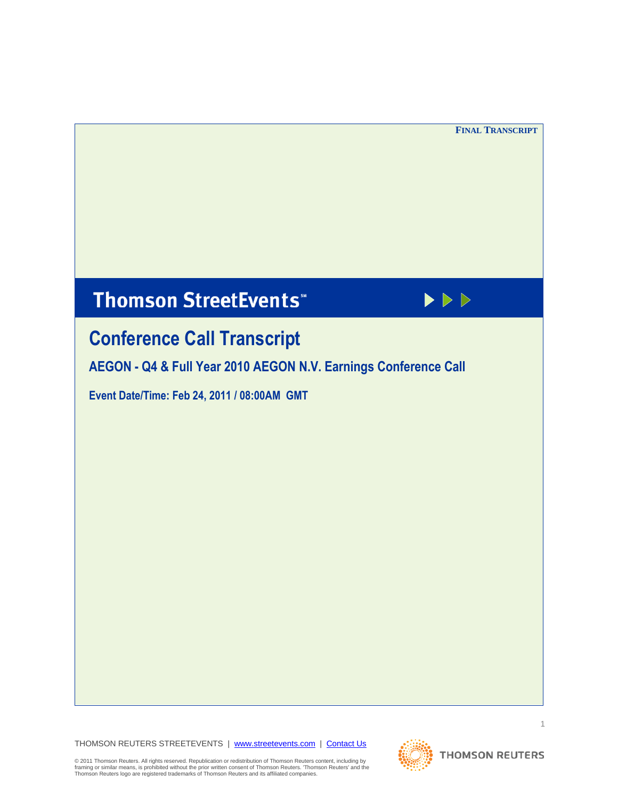# **Thomson StreetEvents**\*



# **Conference Call Transcript**

**AEGON - Q4 & Full Year 2010 AEGON N.V. Earnings Conference Call**

**Event Date/Time: Feb 24, 2011 / 08:00AM GMT** 

THOMSON REUTERS STREETEVENTS | www.streetevents.com | Contact Us

© 2011 Thomson Reuters. All rights reserved. Republication or redistribution of Thomson Reuters content, including by<br>framing or similar means, is prohibited without the prior written consent of Thomson Reuters. 'Thomson

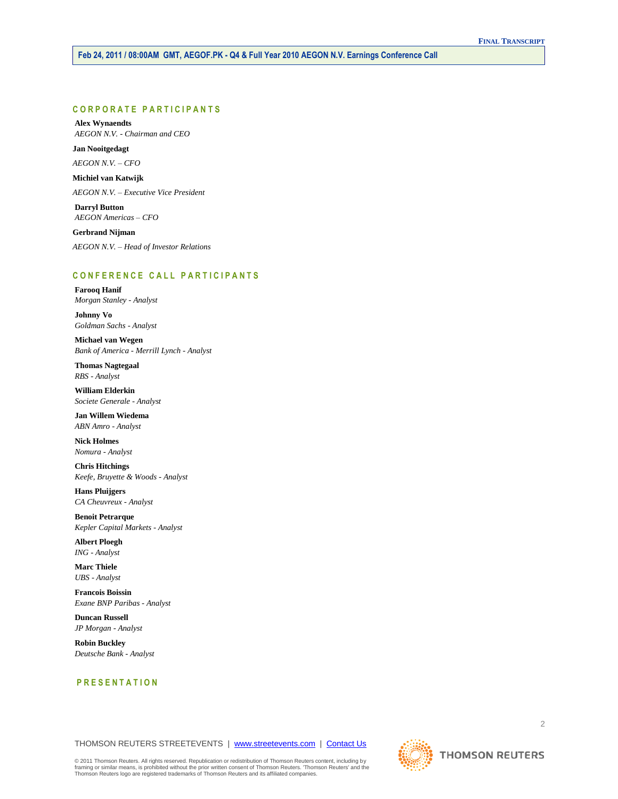# **C O R P O R A T E P A R T I C I P A N T S**

**Alex Wynaendts** *AEGON N.V. - Chairman and CEO*

**Jan Nooitgedagt** *AEGON N.V. – CFO*

**Michiel van Katwijk** *AEGON N.V. – Executive Vice President*

**Darryl Button** *AEGON Americas – CFO*

**Gerbrand Nijman** *AEGON N.V. – Head of Investor Relations*

# **C O N F E R E N C E C A L L P A R T I C I P A N T S**

**Farooq Hanif** *Morgan Stanley - Analyst*

**Johnny Vo** *Goldman Sachs - Analyst*

**Michael van Wegen** *Bank of America - Merrill Lynch - Analyst*

**Thomas Nagtegaal** *RBS - Analyst*

**William Elderkin** *Societe Generale - Analyst*

**Jan Willem Wiedema** *ABN Amro - Analyst*

**Nick Holmes** *Nomura - Analyst*

**Chris Hitchings** *Keefe, Bruyette & Woods - Analyst*

**Hans Pluijgers** *CA Cheuvreux - Analyst*

**Benoit Petrarque** *Kepler Capital Markets - Analyst*

**Albert Ploegh** *ING - Analyst*

**Marc Thiele** *UBS - Analyst*

**Francois Boissin** *Exane BNP Paribas - Analyst*

**Duncan Russell** *JP Morgan - Analyst*

**Robin Buckley** *Deutsche Bank - Analyst*

# **P R E S E N T A T I O N**

# THOMSON REUTERS STREETEVENTS | www.streetevents.com | Contact Us

© 2011 Thomson Reuters. All rights reserved. Republication or redistribution of Thomson Reuters content, including by<br>framing or similar means, is prohibited without the prior written consent of Thomson Reuters. 'Thomson

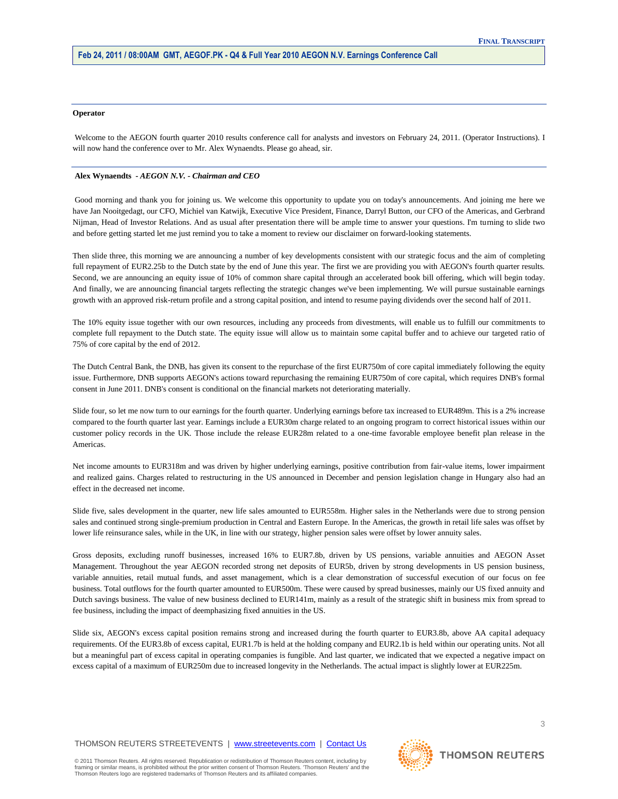#### **Operator**

Welcome to the AEGON fourth quarter 2010 results conference call for analysts and investors on February 24, 2011. (Operator Instructions). I will now hand the conference over to Mr. Alex Wynaendts. Please go ahead, sir.

## **Alex Wynaendts** *- AEGON N.V. - Chairman and CEO*

Good morning and thank you for joining us. We welcome this opportunity to update you on today's announcements. And joining me here we have Jan Nooitgedagt, our CFO, Michiel van Katwijk, Executive Vice President, Finance, Darryl Button, our CFO of the Americas, and Gerbrand Nijman, Head of Investor Relations. And as usual after presentation there will be ample time to answer your questions. I'm turning to slide two and before getting started let me just remind you to take a moment to review our disclaimer on forward-looking statements.

Then slide three, this morning we are announcing a number of key developments consistent with our strategic focus and the aim of completing full repayment of EUR2.25b to the Dutch state by the end of June this year. The first we are providing you with AEGON's fourth quarter results. Second, we are announcing an equity issue of 10% of common share capital through an accelerated book bill offering, which will begin today. And finally, we are announcing financial targets reflecting the strategic changes we've been implementing. We will pursue sustainable earnings growth with an approved risk-return profile and a strong capital position, and intend to resume paying dividends over the second half of 2011.

The 10% equity issue together with our own resources, including any proceeds from divestments, will enable us to fulfill our commitments to complete full repayment to the Dutch state. The equity issue will allow us to maintain some capital buffer and to achieve our targeted ratio of 75% of core capital by the end of 2012.

The Dutch Central Bank, the DNB, has given its consent to the repurchase of the first EUR750m of core capital immediately following the equity issue. Furthermore, DNB supports AEGON's actions toward repurchasing the remaining EUR750m of core capital, which requires DNB's formal consent in June 2011. DNB's consent is conditional on the financial markets not deteriorating materially.

Slide four, so let me now turn to our earnings for the fourth quarter. Underlying earnings before tax increased to EUR489m. This is a 2% increase compared to the fourth quarter last year. Earnings include a EUR30m charge related to an ongoing program to correct historical issues within our customer policy records in the UK. Those include the release EUR28m related to a one-time favorable employee benefit plan release in the Americas.

Net income amounts to EUR318m and was driven by higher underlying earnings, positive contribution from fair-value items, lower impairment and realized gains. Charges related to restructuring in the US announced in December and pension legislation change in Hungary also had an effect in the decreased net income.

Slide five, sales development in the quarter, new life sales amounted to EUR558m. Higher sales in the Netherlands were due to strong pension sales and continued strong single-premium production in Central and Eastern Europe. In the Americas, the growth in retail life sales was offset by lower life reinsurance sales, while in the UK, in line with our strategy, higher pension sales were offset by lower annuity sales.

Gross deposits, excluding runoff businesses, increased 16% to EUR7.8b, driven by US pensions, variable annuities and AEGON Asset Management. Throughout the year AEGON recorded strong net deposits of EUR5b, driven by strong developments in US pension business, variable annuities, retail mutual funds, and asset management, which is a clear demonstration of successful execution of our focus on fee business. Total outflows for the fourth quarter amounted to EUR500m. These were caused by spread businesses, mainly our US fixed annuity and Dutch savings business. The value of new business declined to EUR141m, mainly as a result of the strategic shift in business mix from spread to fee business, including the impact of deemphasizing fixed annuities in the US.

Slide six, AEGON's excess capital position remains strong and increased during the fourth quarter to EUR3.8b, above AA capital adequacy requirements. Of the EUR3.8b of excess capital, EUR1.7b is held at the holding company and EUR2.1b is held within our operating units. Not all but a meaningful part of excess capital in operating companies is fungible. And last quarter, we indicated that we expected a negative impact on excess capital of a maximum of EUR250m due to increased longevity in the Netherlands. The actual impact is slightly lower at EUR225m.

# THOMSON REUTERS STREETEVENTS | www.streetevents.com | Contact Us

© 2011 Thomson Reuters. All rights reserved. Republication or redistribution of Thomson Reuters content, including by framing or similar means, is prohibited without the prior written consent of Thomson Reuters. 'Thomson Reuters' and the Thomson Reuters logo are registered trademarks of Thomson Reuters and its affiliated companies.

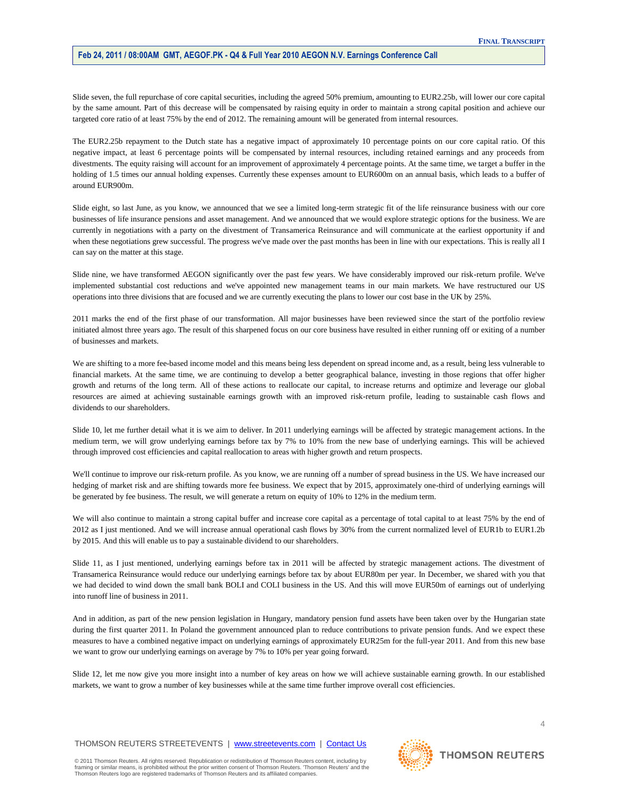Slide seven, the full repurchase of core capital securities, including the agreed 50% premium, amounting to EUR2.25b, will lower our core capital by the same amount. Part of this decrease will be compensated by raising equity in order to maintain a strong capital position and achieve our targeted core ratio of at least 75% by the end of 2012. The remaining amount will be generated from internal resources.

The EUR2.25b repayment to the Dutch state has a negative impact of approximately 10 percentage points on our core capital ratio. Of this negative impact, at least 6 percentage points will be compensated by internal resources, including retained earnings and any proceeds from divestments. The equity raising will account for an improvement of approximately 4 percentage points. At the same time, we target a buffer in the holding of 1.5 times our annual holding expenses. Currently these expenses amount to EUR600m on an annual basis, which leads to a buffer of around EUR900m.

Slide eight, so last June, as you know, we announced that we see a limited long-term strategic fit of the life reinsurance business with our core businesses of life insurance pensions and asset management. And we announced that we would explore strategic options for the business. We are currently in negotiations with a party on the divestment of Transamerica Reinsurance and will communicate at the earliest opportunity if and when these negotiations grew successful. The progress we've made over the past months has been in line with our expectations. This is really all I can say on the matter at this stage.

Slide nine, we have transformed AEGON significantly over the past few years. We have considerably improved our risk-return profile. We've implemented substantial cost reductions and we've appointed new management teams in our main markets. We have restructured our US operations into three divisions that are focused and we are currently executing the plans to lower our cost base in the UK by 25%.

2011 marks the end of the first phase of our transformation. All major businesses have been reviewed since the start of the portfolio review initiated almost three years ago. The result of this sharpened focus on our core business have resulted in either running off or exiting of a number of businesses and markets.

We are shifting to a more fee-based income model and this means being less dependent on spread income and, as a result, being less vulnerable to financial markets. At the same time, we are continuing to develop a better geographical balance, investing in those regions that offer higher growth and returns of the long term. All of these actions to reallocate our capital, to increase returns and optimize and leverage our global resources are aimed at achieving sustainable earnings growth with an improved risk-return profile, leading to sustainable cash flows and dividends to our shareholders.

Slide 10, let me further detail what it is we aim to deliver. In 2011 underlying earnings will be affected by strategic management actions. In the medium term, we will grow underlying earnings before tax by 7% to 10% from the new base of underlying earnings. This will be achieved through improved cost efficiencies and capital reallocation to areas with higher growth and return prospects.

We'll continue to improve our risk-return profile. As you know, we are running off a number of spread business in the US. We have increased our hedging of market risk and are shifting towards more fee business. We expect that by 2015, approximately one-third of underlying earnings will be generated by fee business. The result, we will generate a return on equity of 10% to 12% in the medium term.

We will also continue to maintain a strong capital buffer and increase core capital as a percentage of total capital to at least 75% by the end of 2012 as I just mentioned. And we will increase annual operational cash flows by 30% from the current normalized level of EUR1b to EUR1.2b by 2015. And this will enable us to pay a sustainable dividend to our shareholders.

Slide 11, as I just mentioned, underlying earnings before tax in 2011 will be affected by strategic management actions. The divestment of Transamerica Reinsurance would reduce our underlying earnings before tax by about EUR80m per year. In December, we shared with you that we had decided to wind down the small bank BOLI and COLI business in the US. And this will move EUR50m of earnings out of underlying into runoff line of business in 2011.

And in addition, as part of the new pension legislation in Hungary, mandatory pension fund assets have been taken over by the Hungarian state during the first quarter 2011. In Poland the government announced plan to reduce contributions to private pension funds. And we expect these measures to have a combined negative impact on underlying earnings of approximately EUR25m for the full-year 2011. And from this new base we want to grow our underlying earnings on average by 7% to 10% per year going forward.

Slide 12, let me now give you more insight into a number of key areas on how we will achieve sustainable earning growth. In our established markets, we want to grow a number of key businesses while at the same time further improve overall cost efficiencies.

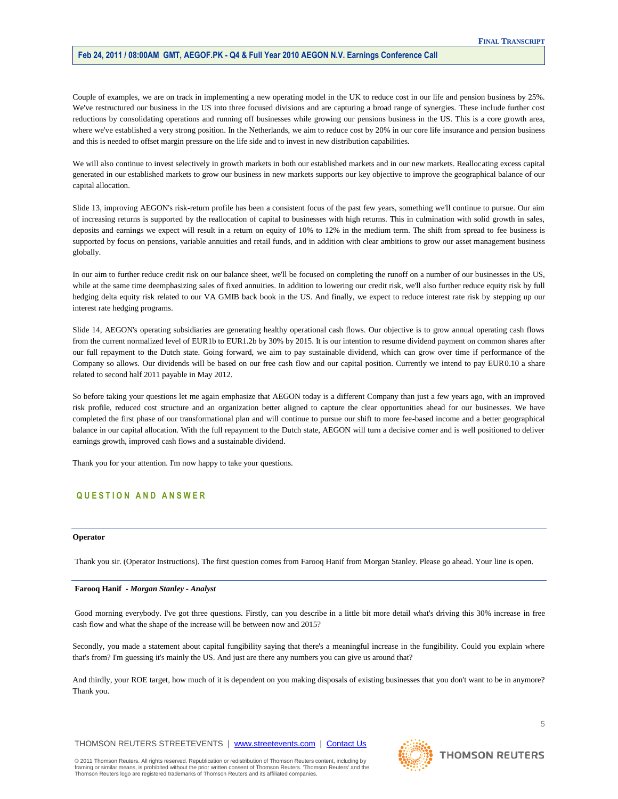Couple of examples, we are on track in implementing a new operating model in the UK to reduce cost in our life and pension business by 25%. We've restructured our business in the US into three focused divisions and are capturing a broad range of synergies. These include further cost reductions by consolidating operations and running off businesses while growing our pensions business in the US. This is a core growth area, where we've established a very strong position. In the Netherlands, we aim to reduce cost by 20% in our core life insurance and pension business and this is needed to offset margin pressure on the life side and to invest in new distribution capabilities.

We will also continue to invest selectively in growth markets in both our established markets and in our new markets. Reallocating excess capital generated in our established markets to grow our business in new markets supports our key objective to improve the geographical balance of our capital allocation.

Slide 13, improving AEGON's risk-return profile has been a consistent focus of the past few years, something we'll continue to pursue. Our aim of increasing returns is supported by the reallocation of capital to businesses with high returns. This in culmination with solid growth in sales, deposits and earnings we expect will result in a return on equity of 10% to 12% in the medium term. The shift from spread to fee business is supported by focus on pensions, variable annuities and retail funds, and in addition with clear ambitions to grow our asset management business globally.

In our aim to further reduce credit risk on our balance sheet, we'll be focused on completing the runoff on a number of our businesses in the US, while at the same time deemphasizing sales of fixed annuities. In addition to lowering our credit risk, we'll also further reduce equity risk by full hedging delta equity risk related to our VA GMIB back book in the US. And finally, we expect to reduce interest rate risk by stepping up our interest rate hedging programs.

Slide 14, AEGON's operating subsidiaries are generating healthy operational cash flows. Our objective is to grow annual operating cash flows from the current normalized level of EUR1b to EUR1.2b by 30% by 2015. It is our intention to resume dividend payment on common shares after our full repayment to the Dutch state. Going forward, we aim to pay sustainable dividend, which can grow over time if performance of the Company so allows. Our dividends will be based on our free cash flow and our capital position. Currently we intend to pay EUR0.10 a share related to second half 2011 payable in May 2012.

So before taking your questions let me again emphasize that AEGON today is a different Company than just a few years ago, with an improved risk profile, reduced cost structure and an organization better aligned to capture the clear opportunities ahead for our businesses. We have completed the first phase of our transformational plan and will continue to pursue our shift to more fee-based income and a better geographical balance in our capital allocation. With the full repayment to the Dutch state, AEGON will turn a decisive corner and is well positioned to deliver earnings growth, improved cash flows and a sustainable dividend.

Thank you for your attention. I'm now happy to take your questions.

# **Q U E S T I O N A N D A N S W E R**

## **Operator**

Thank you sir. (Operator Instructions). The first question comes from Farooq Hanif from Morgan Stanley. Please go ahead. Your line is open.

#### **Farooq Hanif** *- Morgan Stanley - Analyst*

Good morning everybody. I've got three questions. Firstly, can you describe in a little bit more detail what's driving this 30% increase in free cash flow and what the shape of the increase will be between now and 2015?

Secondly, you made a statement about capital fungibility saying that there's a meaningful increase in the fungibility. Could you explain where that's from? I'm guessing it's mainly the US. And just are there any numbers you can give us around that?

And thirdly, your ROE target, how much of it is dependent on you making disposals of existing businesses that you don't want to be in anymore? Thank you.

THOMSON REUTERS STREETEVENTS | www.streetevents.com | Contact Us

© 2011 Thomson Reuters. All rights reserved. Republication or redistribution of Thomson Reuters content, including by framing or similar means, is prohibited without the prior written consent of Thomson Reuters. 'Thomson Reuters' and the Thomson Reuters logo are registered trademarks of Thomson Reuters and its affiliated companies.

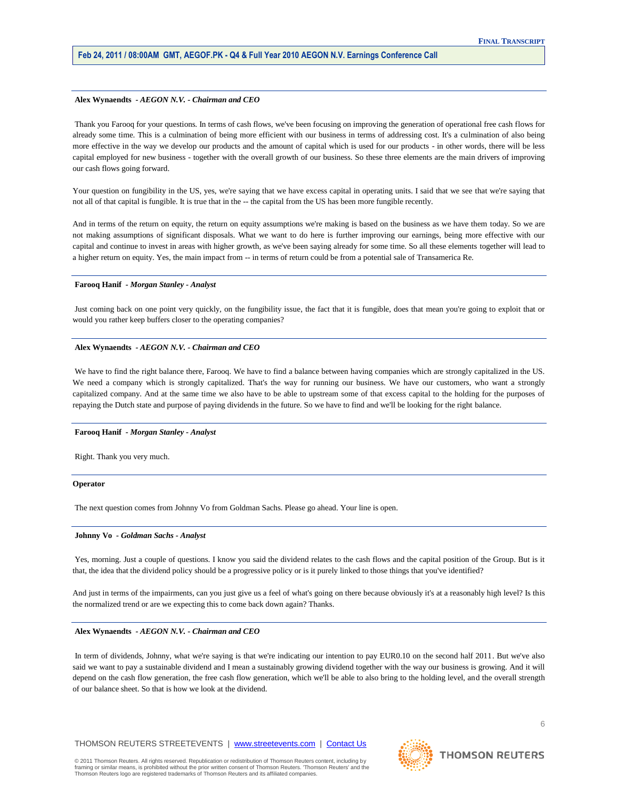#### **Alex Wynaendts** *- AEGON N.V. - Chairman and CEO*

Thank you Farooq for your questions. In terms of cash flows, we've been focusing on improving the generation of operational free cash flows for already some time. This is a culmination of being more efficient with our business in terms of addressing cost. It's a culmination of also being more effective in the way we develop our products and the amount of capital which is used for our products - in other words, there will be less capital employed for new business - together with the overall growth of our business. So these three elements are the main drivers of improving our cash flows going forward.

Your question on fungibility in the US, yes, we're saying that we have excess capital in operating units. I said that we see that we're saying that not all of that capital is fungible. It is true that in the -- the capital from the US has been more fungible recently.

And in terms of the return on equity, the return on equity assumptions we're making is based on the business as we have them today. So we are not making assumptions of significant disposals. What we want to do here is further improving our earnings, being more effective with our capital and continue to invest in areas with higher growth, as we've been saying already for some time. So all these elements together will lead to a higher return on equity. Yes, the main impact from -- in terms of return could be from a potential sale of Transamerica Re.

#### **Farooq Hanif** *- Morgan Stanley - Analyst*

Just coming back on one point very quickly, on the fungibility issue, the fact that it is fungible, does that mean you're going to exploit that or would you rather keep buffers closer to the operating companies?

## **Alex Wynaendts** *- AEGON N.V. - Chairman and CEO*

We have to find the right balance there, Farooq. We have to find a balance between having companies which are strongly capitalized in the US. We need a company which is strongly capitalized. That's the way for running our business. We have our customers, who want a strongly capitalized company. And at the same time we also have to be able to upstream some of that excess capital to the holding for the purposes of repaying the Dutch state and purpose of paying dividends in the future. So we have to find and we'll be looking for the right balance.

#### **Farooq Hanif** *- Morgan Stanley - Analyst*

Right. Thank you very much.

#### **Operator**

The next question comes from Johnny Vo from Goldman Sachs. Please go ahead. Your line is open.

#### **Johnny Vo** *- Goldman Sachs - Analyst*

Yes, morning. Just a couple of questions. I know you said the dividend relates to the cash flows and the capital position of the Group. But is it that, the idea that the dividend policy should be a progressive policy or is it purely linked to those things that you've identified?

And just in terms of the impairments, can you just give us a feel of what's going on there because obviously it's at a reasonably high level? Is this the normalized trend or are we expecting this to come back down again? Thanks.

#### **Alex Wynaendts** *- AEGON N.V. - Chairman and CEO*

In term of dividends, Johnny, what we're saying is that we're indicating our intention to pay EUR0.10 on the second half 2011. But we've also said we want to pay a sustainable dividend and I mean a sustainably growing dividend together with the way our business is growing. And it will depend on the cash flow generation, the free cash flow generation, which we'll be able to also bring to the holding level, and the overall strength of our balance sheet. So that is how we look at the dividend.

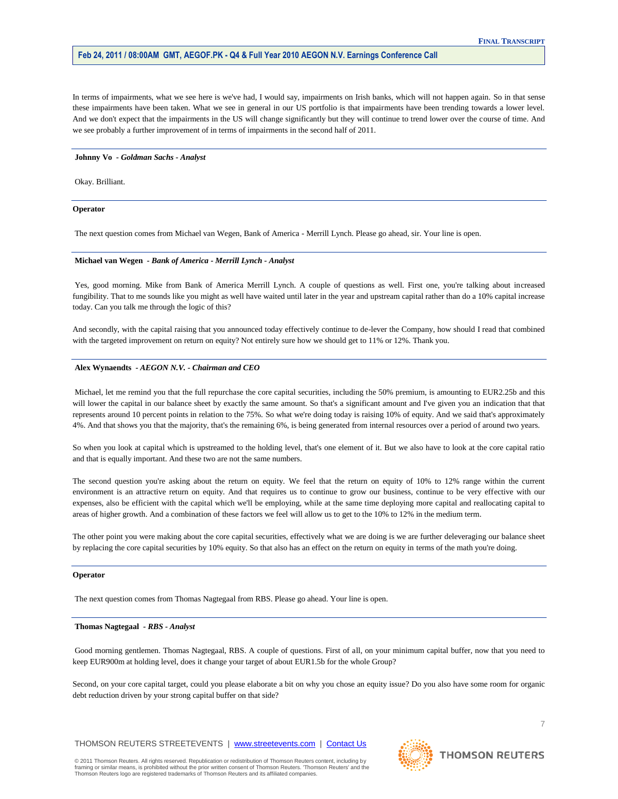In terms of impairments, what we see here is we've had, I would say, impairments on Irish banks, which will not happen again. So in that sense these impairments have been taken. What we see in general in our US portfolio is that impairments have been trending towards a lower level. And we don't expect that the impairments in the US will change significantly but they will continue to trend lower over the course of time. And we see probably a further improvement of in terms of impairments in the second half of 2011.

#### **Johnny Vo** *- Goldman Sachs - Analyst*

Okay. Brilliant.

#### **Operator**

The next question comes from Michael van Wegen, Bank of America - Merrill Lynch. Please go ahead, sir. Your line is open.

## **Michael van Wegen** *- Bank of America - Merrill Lynch - Analyst*

Yes, good morning. Mike from Bank of America Merrill Lynch. A couple of questions as well. First one, you're talking about increased fungibility. That to me sounds like you might as well have waited until later in the year and upstream capital rather than do a 10% capital increase today. Can you talk me through the logic of this?

And secondly, with the capital raising that you announced today effectively continue to de-lever the Company, how should I read that combined with the targeted improvement on return on equity? Not entirely sure how we should get to 11% or 12%. Thank you.

## **Alex Wynaendts** *- AEGON N.V. - Chairman and CEO*

Michael, let me remind you that the full repurchase the core capital securities, including the 50% premium, is amounting to EUR2.25b and this will lower the capital in our balance sheet by exactly the same amount. So that's a significant amount and I've given you an indication that that represents around 10 percent points in relation to the 75%. So what we're doing today is raising 10% of equity. And we said that's approximately 4%. And that shows you that the majority, that's the remaining 6%, is being generated from internal resources over a period of around two years.

So when you look at capital which is upstreamed to the holding level, that's one element of it. But we also have to look at the core capital ratio and that is equally important. And these two are not the same numbers.

The second question you're asking about the return on equity. We feel that the return on equity of 10% to 12% range within the current environment is an attractive return on equity. And that requires us to continue to grow our business, continue to be very effective with our expenses, also be efficient with the capital which we'll be employing, while at the same time deploying more capital and reallocating capital to areas of higher growth. And a combination of these factors we feel will allow us to get to the 10% to 12% in the medium term.

The other point you were making about the core capital securities, effectively what we are doing is we are further deleveraging our balance sheet by replacing the core capital securities by 10% equity. So that also has an effect on the return on equity in terms of the math you're doing.

#### **Operator**

The next question comes from Thomas Nagtegaal from RBS. Please go ahead. Your line is open.

## **Thomas Nagtegaal** *- RBS - Analyst*

Good morning gentlemen. Thomas Nagtegaal, RBS. A couple of questions. First of all, on your minimum capital buffer, now that you need to keep EUR900m at holding level, does it change your target of about EUR1.5b for the whole Group?

Second, on your core capital target, could you please elaborate a bit on why you chose an equity issue? Do you also have some room for organic debt reduction driven by your strong capital buffer on that side?

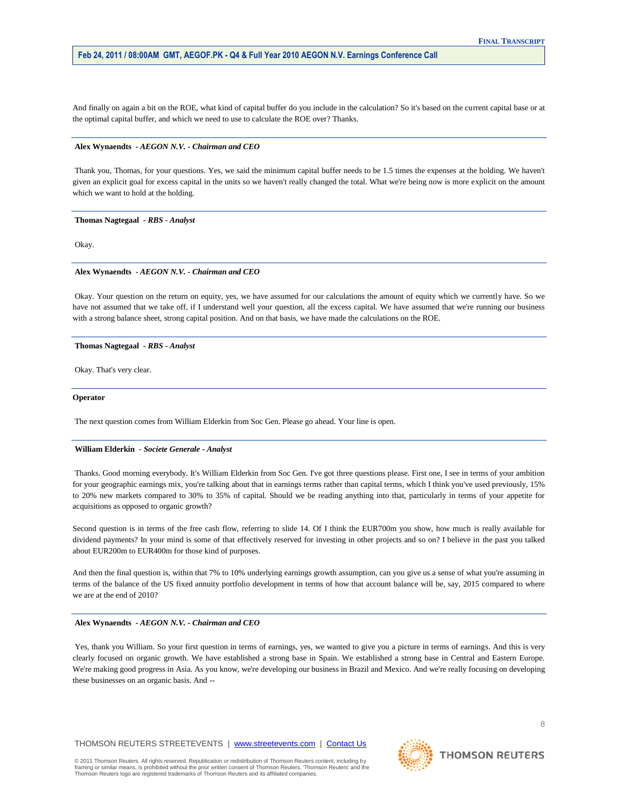And finally on again a bit on the ROE, what kind of capital buffer do you include in the calculation? So it's based on the current capital base or at the optimal capital buffer, and which we need to use to calculate the ROE over? Thanks.

#### **Alex Wynaendts** *- AEGON N.V. - Chairman and CEO*

Thank you, Thomas, for your questions. Yes, we said the minimum capital buffer needs to be 1.5 times the expenses at the holding. We haven't given an explicit goal for excess capital in the units so we haven't really changed the total. What we're being now is more explicit on the amount which we want to hold at the holding.

**Thomas Nagtegaal** *- RBS - Analyst* 

Okay.

### **Alex Wynaendts** *- AEGON N.V. - Chairman and CEO*

Okay. Your question on the return on equity, yes, we have assumed for our calculations the amount of equity which we currently have. So we have not assumed that we take off, if I understand well your question, all the excess capital. We have assumed that we're running our business with a strong balance sheet, strong capital position. And on that basis, we have made the calculations on the ROE.

### **Thomas Nagtegaal** *- RBS - Analyst*

Okay. That's very clear.

## **Operator**

The next question comes from William Elderkin from Soc Gen. Please go ahead. Your line is open.

## **William Elderkin** *- Societe Generale - Analyst*

Thanks. Good morning everybody. It's William Elderkin from Soc Gen. I've got three questions please. First one, I see in terms of your ambition for your geographic earnings mix, you're talking about that in earnings terms rather than capital terms, which I think you've used previously, 15% to 20% new markets compared to 30% to 35% of capital. Should we be reading anything into that, particularly in terms of your appetite for acquisitions as opposed to organic growth?

Second question is in terms of the free cash flow, referring to slide 14. Of I think the EUR700m you show, how much is really available for dividend payments? In your mind is some of that effectively reserved for investing in other projects and so on? I believe in the past you talked about EUR200m to EUR400m for those kind of purposes.

And then the final question is, within that 7% to 10% underlying earnings growth assumption, can you give us a sense of what you're assuming in terms of the balance of the US fixed annuity portfolio development in terms of how that account balance will be, say, 2015 compared to where we are at the end of 2010?

## **Alex Wynaendts** *- AEGON N.V. - Chairman and CEO*

Yes, thank you William. So your first question in terms of earnings, yes, we wanted to give you a picture in terms of earnings. And this is very clearly focused on organic growth. We have established a strong base in Spain. We established a strong base in Central and Eastern Europe. We're making good progress in Asia. As you know, we're developing our business in Brazil and Mexico. And we're really focusing on developing these businesses on an organic basis. And --

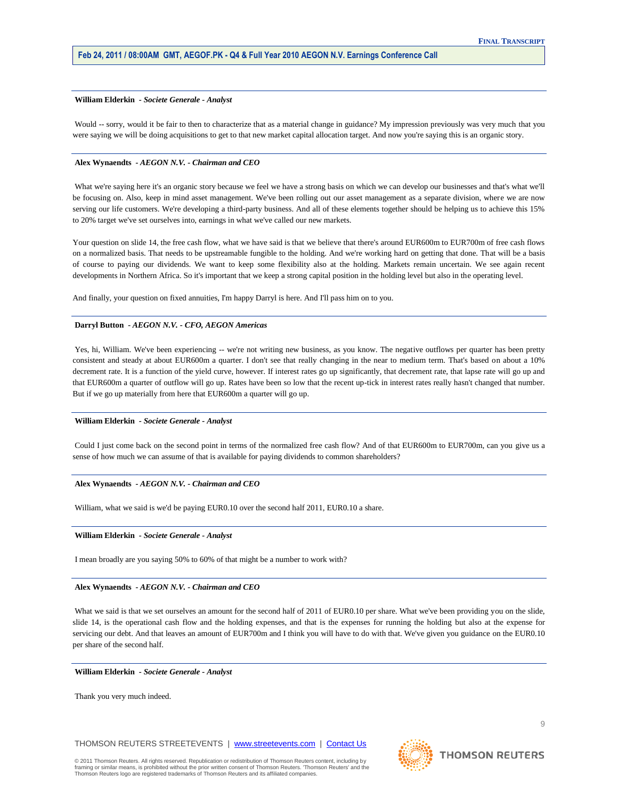## **William Elderkin** *- Societe Generale - Analyst*

Would -- sorry, would it be fair to then to characterize that as a material change in guidance? My impression previously was very much that you were saying we will be doing acquisitions to get to that new market capital allocation target. And now you're saying this is an organic story.

### **Alex Wynaendts** *- AEGON N.V. - Chairman and CEO*

What we're saying here it's an organic story because we feel we have a strong basis on which we can develop our businesses and that's what we'll be focusing on. Also, keep in mind asset management. We've been rolling out our asset management as a separate division, where we are now serving our life customers. We're developing a third-party business. And all of these elements together should be helping us to achieve this 15% to 20% target we've set ourselves into, earnings in what we've called our new markets.

Your question on slide 14, the free cash flow, what we have said is that we believe that there's around EUR600m to EUR700m of free cash flows on a normalized basis. That needs to be upstreamable fungible to the holding. And we're working hard on getting that done. That will be a basis of course to paying our dividends. We want to keep some flexibility also at the holding. Markets remain uncertain. We see again recent developments in Northern Africa. So it's important that we keep a strong capital position in the holding level but also in the operating level.

And finally, your question on fixed annuities, I'm happy Darryl is here. And I'll pass him on to you.

#### **Darryl Button** *- AEGON N.V. - CFO, AEGON Americas*

Yes, hi, William. We've been experiencing -- we're not writing new business, as you know. The negative outflows per quarter has been pretty consistent and steady at about EUR600m a quarter. I don't see that really changing in the near to medium term. That's based on about a 10% decrement rate. It is a function of the yield curve, however. If interest rates go up significantly, that decrement rate, that lapse rate will go up and that EUR600m a quarter of outflow will go up. Rates have been so low that the recent up-tick in interest rates really hasn't changed that number. But if we go up materially from here that EUR600m a quarter will go up.

#### **William Elderkin** *- Societe Generale - Analyst*

Could I just come back on the second point in terms of the normalized free cash flow? And of that EUR600m to EUR700m, can you give us a sense of how much we can assume of that is available for paying dividends to common shareholders?

#### **Alex Wynaendts** *- AEGON N.V. - Chairman and CEO*

William, what we said is we'd be paying EUR0.10 over the second half 2011, EUR0.10 a share.

#### **William Elderkin** *- Societe Generale - Analyst*

I mean broadly are you saying 50% to 60% of that might be a number to work with?

## **Alex Wynaendts** *- AEGON N.V. - Chairman and CEO*

What we said is that we set ourselves an amount for the second half of 2011 of EUR0.10 per share. What we've been providing you on the slide, slide 14, is the operational cash flow and the holding expenses, and that is the expenses for running the holding but also at the expense for servicing our debt. And that leaves an amount of EUR700m and I think you will have to do with that. We've given you guidance on the EUR0.10 per share of the second half.

#### **William Elderkin** *- Societe Generale - Analyst*

Thank you very much indeed.

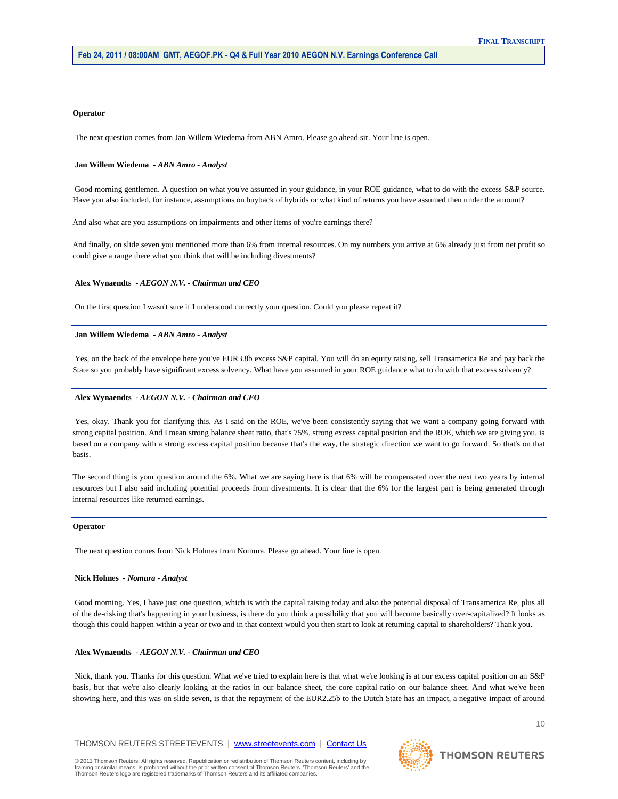#### **Operator**

The next question comes from Jan Willem Wiedema from ABN Amro. Please go ahead sir. Your line is open.

## **Jan Willem Wiedema** *- ABN Amro - Analyst*

Good morning gentlemen. A question on what you've assumed in your guidance, in your ROE guidance, what to do with the excess S&P source. Have you also included, for instance, assumptions on buyback of hybrids or what kind of returns you have assumed then under the amount?

And also what are you assumptions on impairments and other items of you're earnings there?

And finally, on slide seven you mentioned more than 6% from internal resources. On my numbers you arrive at 6% already just from net profit so could give a range there what you think that will be including divestments?

### **Alex Wynaendts** *- AEGON N.V. - Chairman and CEO*

On the first question I wasn't sure if I understood correctly your question. Could you please repeat it?

#### **Jan Willem Wiedema** *- ABN Amro - Analyst*

Yes, on the back of the envelope here you've EUR3.8b excess S&P capital. You will do an equity raising, sell Transamerica Re and pay back the State so you probably have significant excess solvency. What have you assumed in your ROE guidance what to do with that excess solvency?

# **Alex Wynaendts** *- AEGON N.V. - Chairman and CEO*

Yes, okay. Thank you for clarifying this. As I said on the ROE, we've been consistently saying that we want a company going forward with strong capital position. And I mean strong balance sheet ratio, that's 75%, strong excess capital position and the ROE, which we are giving you, is based on a company with a strong excess capital position because that's the way, the strategic direction we want to go forward. So that's on that basis.

The second thing is your question around the 6%. What we are saying here is that 6% will be compensated over the next two years by internal resources but I also said including potential proceeds from divestments. It is clear that the 6% for the largest part is being generated through internal resources like returned earnings.

#### **Operator**

The next question comes from Nick Holmes from Nomura. Please go ahead. Your line is open.

## **Nick Holmes** *- Nomura - Analyst*

Good morning. Yes, I have just one question, which is with the capital raising today and also the potential disposal of Transamerica Re, plus all of the de-risking that's happening in your business, is there do you think a possibility that you will become basically over-capitalized? It looks as though this could happen within a year or two and in that context would you then start to look at returning capital to shareholders? Thank you.

#### **Alex Wynaendts** *- AEGON N.V. - Chairman and CEO*

Nick, thank you. Thanks for this question. What we've tried to explain here is that what we're looking is at our excess capital position on an S&P basis, but that we're also clearly looking at the ratios in our balance sheet, the core capital ratio on our balance sheet. And what we've been showing here, and this was on slide seven, is that the repayment of the EUR2.25b to the Dutch State has an impact, a negative impact of around

THOMSON REUTERS STREETEVENTS | www.streetevents.com | Contact Us

© 2011 Thomson Reuters. All rights reserved. Republication or redistribution of Thomson Reuters content, including by framing or similar means, is prohibited without the prior written consent of Thomson Reuters. 'Thomson Reuters' and the Thomson Reuters logo are registered trademarks of Thomson Reuters and its affiliated companies.



# **THOMSON REUTERS**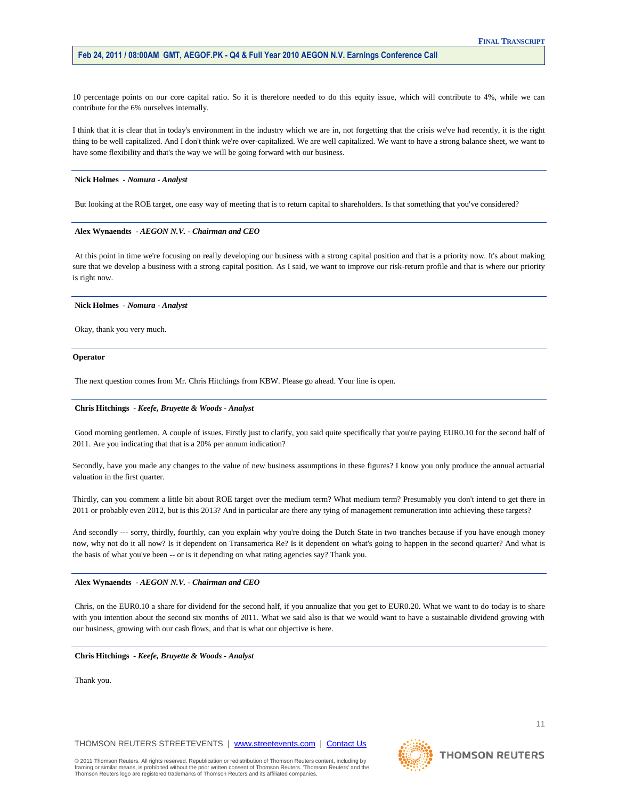10 percentage points on our core capital ratio. So it is therefore needed to do this equity issue, which will contribute to 4%, while we can contribute for the 6% ourselves internally.

I think that it is clear that in today's environment in the industry which we are in, not forgetting that the crisis we've had recently, it is the right thing to be well capitalized. And I don't think we're over-capitalized. We are well capitalized. We want to have a strong balance sheet, we want to have some flexibility and that's the way we will be going forward with our business.

#### **Nick Holmes** *- Nomura - Analyst*

But looking at the ROE target, one easy way of meeting that is to return capital to shareholders. Is that something that you've considered?

## **Alex Wynaendts** *- AEGON N.V. - Chairman and CEO*

At this point in time we're focusing on really developing our business with a strong capital position and that is a priority now. It's about making sure that we develop a business with a strong capital position. As I said, we want to improve our risk-return profile and that is where our priority is right now.

#### **Nick Holmes** *- Nomura - Analyst*

Okay, thank you very much.

#### **Operator**

The next question comes from Mr. Chris Hitchings from KBW. Please go ahead. Your line is open.

## **Chris Hitchings** *- Keefe, Bruyette & Woods - Analyst*

Good morning gentlemen. A couple of issues. Firstly just to clarify, you said quite specifically that you're paying EUR0.10 for the second half of 2011. Are you indicating that that is a 20% per annum indication?

Secondly, have you made any changes to the value of new business assumptions in these figures? I know you only produce the annual actuarial valuation in the first quarter.

Thirdly, can you comment a little bit about ROE target over the medium term? What medium term? Presumably you don't intend to get there in 2011 or probably even 2012, but is this 2013? And in particular are there any tying of management remuneration into achieving these targets?

And secondly --- sorry, thirdly, fourthly, can you explain why you're doing the Dutch State in two tranches because if you have enough money now, why not do it all now? Is it dependent on Transamerica Re? Is it dependent on what's going to happen in the second quarter? And what is the basis of what you've been -- or is it depending on what rating agencies say? Thank you.

#### **Alex Wynaendts** *- AEGON N.V. - Chairman and CEO*

Chris, on the EUR0.10 a share for dividend for the second half, if you annualize that you get to EUR0.20. What we want to do today is to share with you intention about the second six months of 2011. What we said also is that we would want to have a sustainable dividend growing with our business, growing with our cash flows, and that is what our objective is here.

#### **Chris Hitchings** *- Keefe, Bruyette & Woods - Analyst*

Thank you.

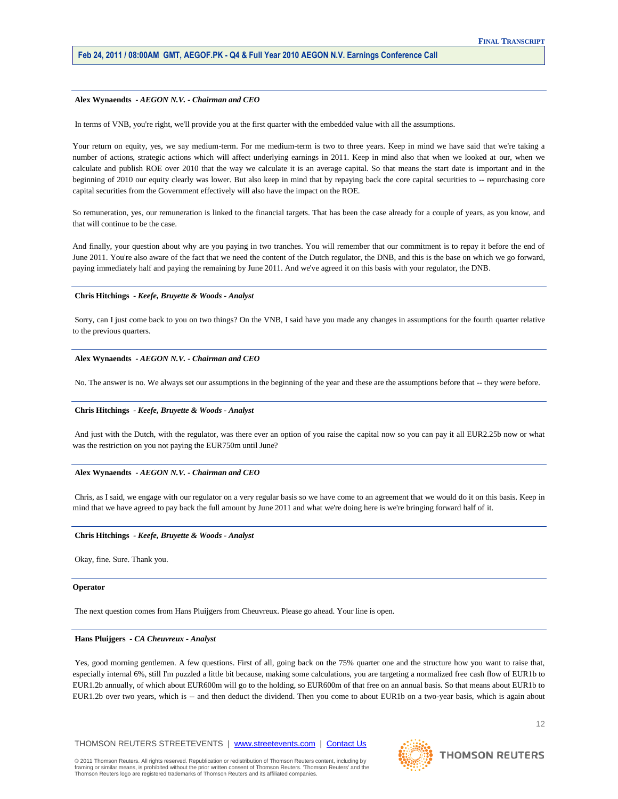#### **Alex Wynaendts** *- AEGON N.V. - Chairman and CEO*

In terms of VNB, you're right, we'll provide you at the first quarter with the embedded value with all the assumptions.

Your return on equity, yes, we say medium-term. For me medium-term is two to three years. Keep in mind we have said that we're taking a number of actions, strategic actions which will affect underlying earnings in 2011. Keep in mind also that when we looked at our, when we calculate and publish ROE over 2010 that the way we calculate it is an average capital. So that means the start date is important and in the beginning of 2010 our equity clearly was lower. But also keep in mind that by repaying back the core capital securities to -- repurchasing core capital securities from the Government effectively will also have the impact on the ROE.

So remuneration, yes, our remuneration is linked to the financial targets. That has been the case already for a couple of years, as you know, and that will continue to be the case.

And finally, your question about why are you paying in two tranches. You will remember that our commitment is to repay it before the end of June 2011. You're also aware of the fact that we need the content of the Dutch regulator, the DNB, and this is the base on which we go forward, paying immediately half and paying the remaining by June 2011. And we've agreed it on this basis with your regulator, the DNB.

## **Chris Hitchings** *- Keefe, Bruyette & Woods - Analyst*

Sorry, can I just come back to you on two things? On the VNB, I said have you made any changes in assumptions for the fourth quarter relative to the previous quarters.

#### **Alex Wynaendts** *- AEGON N.V. - Chairman and CEO*

No. The answer is no. We always set our assumptions in the beginning of the year and these are the assumptions before that -- they were before.

## **Chris Hitchings** *- Keefe, Bruyette & Woods - Analyst*

And just with the Dutch, with the regulator, was there ever an option of you raise the capital now so you can pay it all EUR2.25b now or what was the restriction on you not paying the EUR750m until June?

#### **Alex Wynaendts** *- AEGON N.V. - Chairman and CEO*

Chris, as I said, we engage with our regulator on a very regular basis so we have come to an agreement that we would do it on this basis. Keep in mind that we have agreed to pay back the full amount by June 2011 and what we're doing here is we're bringing forward half of it.

#### **Chris Hitchings** *- Keefe, Bruyette & Woods - Analyst*

Okay, fine. Sure. Thank you.

#### **Operator**

The next question comes from Hans Pluijgers from Cheuvreux. Please go ahead. Your line is open.

## **Hans Pluijgers** *- CA Cheuvreux - Analyst*

Yes, good morning gentlemen. A few questions. First of all, going back on the 75% quarter one and the structure how you want to raise that, especially internal 6%, still I'm puzzled a little bit because, making some calculations, you are targeting a normalized free cash flow of EUR1b to EUR1.2b annually, of which about EUR600m will go to the holding, so EUR600m of that free on an annual basis. So that means about EUR1b to EUR1.2b over two years, which is -- and then deduct the dividend. Then you come to about EUR1b on a two-year basis, which is again about

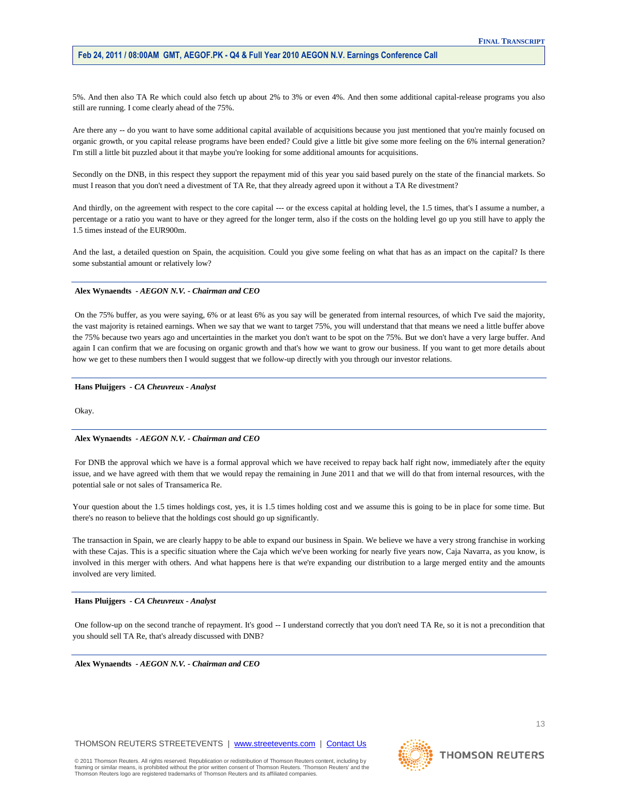5%. And then also TA Re which could also fetch up about 2% to 3% or even 4%. And then some additional capital-release programs you also still are running. I come clearly ahead of the 75%.

Are there any -- do you want to have some additional capital available of acquisitions because you just mentioned that you're mainly focused on organic growth, or you capital release programs have been ended? Could give a little bit give some more feeling on the 6% internal generation? I'm still a little bit puzzled about it that maybe you're looking for some additional amounts for acquisitions.

Secondly on the DNB, in this respect they support the repayment mid of this year you said based purely on the state of the financial markets. So must I reason that you don't need a divestment of TA Re, that they already agreed upon it without a TA Re divestment?

And thirdly, on the agreement with respect to the core capital --- or the excess capital at holding level, the 1.5 times, that's I assume a number, a percentage or a ratio you want to have or they agreed for the longer term, also if the costs on the holding level go up you still have to apply the 1.5 times instead of the EUR900m.

And the last, a detailed question on Spain, the acquisition. Could you give some feeling on what that has as an impact on the capital? Is there some substantial amount or relatively low?

## **Alex Wynaendts** *- AEGON N.V. - Chairman and CEO*

On the 75% buffer, as you were saying, 6% or at least 6% as you say will be generated from internal resources, of which I've said the majority, the vast majority is retained earnings. When we say that we want to target 75%, you will understand that that means we need a little buffer above the 75% because two years ago and uncertainties in the market you don't want to be spot on the 75%. But we don't have a very large buffer. And again I can confirm that we are focusing on organic growth and that's how we want to grow our business. If you want to get more details about how we get to these numbers then I would suggest that we follow-up directly with you through our investor relations.

## **Hans Pluijgers** *- CA Cheuvreux - Analyst*

Okay.

## **Alex Wynaendts** *- AEGON N.V. - Chairman and CEO*

For DNB the approval which we have is a formal approval which we have received to repay back half right now, immediately after the equity issue, and we have agreed with them that we would repay the remaining in June 2011 and that we will do that from internal resources, with the potential sale or not sales of Transamerica Re.

Your question about the 1.5 times holdings cost, yes, it is 1.5 times holding cost and we assume this is going to be in place for some time. But there's no reason to believe that the holdings cost should go up significantly.

The transaction in Spain, we are clearly happy to be able to expand our business in Spain. We believe we have a very strong franchise in working with these Cajas. This is a specific situation where the Caja which we've been working for nearly five years now, Caja Navarra, as you know, is involved in this merger with others. And what happens here is that we're expanding our distribution to a large merged entity and the amounts involved are very limited.

#### **Hans Pluijgers** *- CA Cheuvreux - Analyst*

One follow-up on the second tranche of repayment. It's good -- I understand correctly that you don't need TA Re, so it is not a precondition that you should sell TA Re, that's already discussed with DNB?

**Alex Wynaendts** *- AEGON N.V. - Chairman and CEO* 

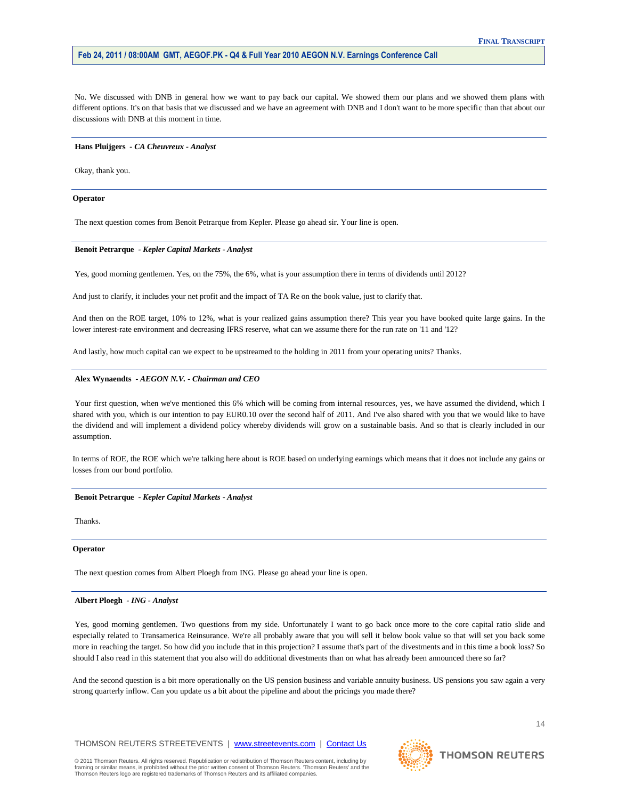No. We discussed with DNB in general how we want to pay back our capital. We showed them our plans and we showed them plans with different options. It's on that basis that we discussed and we have an agreement with DNB and I don't want to be more specific than that about our discussions with DNB at this moment in time.

#### **Hans Pluijgers** *- CA Cheuvreux - Analyst*

Okay, thank you.

## **Operator**

The next question comes from Benoit Petrarque from Kepler. Please go ahead sir. Your line is open.

## **Benoit Petrarque** *- Kepler Capital Markets - Analyst*

Yes, good morning gentlemen. Yes, on the 75%, the 6%, what is your assumption there in terms of dividends until 2012?

And just to clarify, it includes your net profit and the impact of TA Re on the book value, just to clarify that.

And then on the ROE target, 10% to 12%, what is your realized gains assumption there? This year you have booked quite large gains. In the lower interest-rate environment and decreasing IFRS reserve, what can we assume there for the run rate on '11 and '12?

And lastly, how much capital can we expect to be upstreamed to the holding in 2011 from your operating units? Thanks.

#### **Alex Wynaendts** *- AEGON N.V. - Chairman and CEO*

Your first question, when we've mentioned this 6% which will be coming from internal resources, yes, we have assumed the dividend, which I shared with you, which is our intention to pay EUR0.10 over the second half of 2011. And I've also shared with you that we would like to have the dividend and will implement a dividend policy whereby dividends will grow on a sustainable basis. And so that is clearly included in our assumption.

In terms of ROE, the ROE which we're talking here about is ROE based on underlying earnings which means that it does not include any gains or losses from our bond portfolio.

#### **Benoit Petrarque** *- Kepler Capital Markets - Analyst*

Thanks.

## **Operator**

The next question comes from Albert Ploegh from ING. Please go ahead your line is open.

#### **Albert Ploegh** *- ING - Analyst*

Yes, good morning gentlemen. Two questions from my side. Unfortunately I want to go back once more to the core capital ratio slide and especially related to Transamerica Reinsurance. We're all probably aware that you will sell it below book value so that will set you back some more in reaching the target. So how did you include that in this projection? I assume that's part of the divestments and in this time a book loss? So should I also read in this statement that you also will do additional divestments than on what has already been announced there so far?

And the second question is a bit more operationally on the US pension business and variable annuity business. US pensions you saw again a very strong quarterly inflow. Can you update us a bit about the pipeline and about the pricings you made there?

## THOMSON REUTERS STREETEVENTS | www.streetevents.com | Contact Us

© 2011 Thomson Reuters. All rights reserved. Republication or redistribution of Thomson Reuters content, including by framing or similar means, is prohibited without the prior written consent of Thomson Reuters. 'Thomson Reuters' and the Thomson Reuters logo are registered trademarks of Thomson Reuters and its affiliated companies.

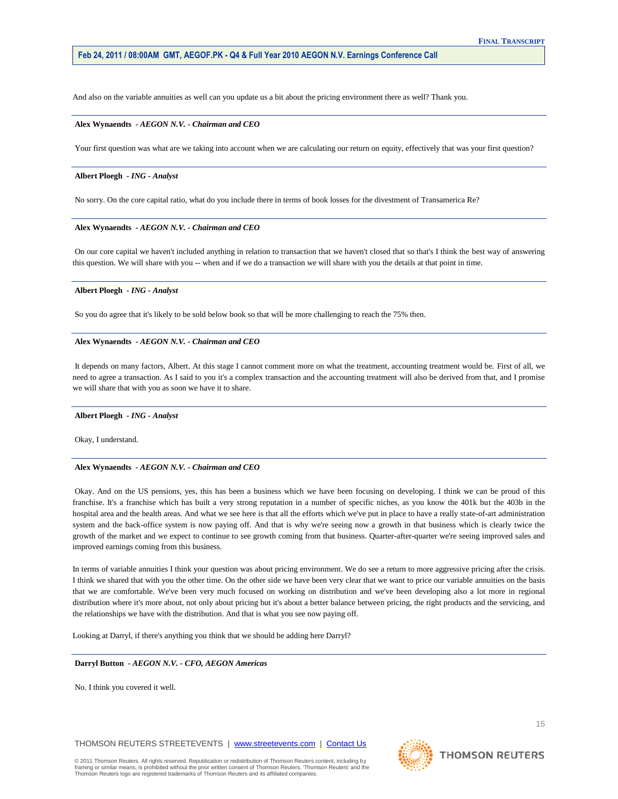And also on the variable annuities as well can you update us a bit about the pricing environment there as well? Thank you.

#### **Alex Wynaendts** *- AEGON N.V. - Chairman and CEO*

Your first question was what are we taking into account when we are calculating our return on equity, effectively that was your first question?

## **Albert Ploegh** *- ING - Analyst*

No sorry. On the core capital ratio, what do you include there in terms of book losses for the divestment of Transamerica Re?

### **Alex Wynaendts** *- AEGON N.V. - Chairman and CEO*

On our core capital we haven't included anything in relation to transaction that we haven't closed that so that's I think the best way of answering this question. We will share with you -- when and if we do a transaction we will share with you the details at that point in time.

### **Albert Ploegh** *- ING - Analyst*

So you do agree that it's likely to be sold below book so that will be more challenging to reach the 75% then.

## **Alex Wynaendts** *- AEGON N.V. - Chairman and CEO*

It depends on many factors, Albert. At this stage I cannot comment more on what the treatment, accounting treatment would be. First of all, we need to agree a transaction. As I said to you it's a complex transaction and the accounting treatment will also be derived from that, and I promise we will share that with you as soon we have it to share.

#### **Albert Ploegh** *- ING - Analyst*

Okay, I understand.

## **Alex Wynaendts** *- AEGON N.V. - Chairman and CEO*

Okay. And on the US pensions, yes, this has been a business which we have been focusing on developing. I think we can be proud of this franchise. It's a franchise which has built a very strong reputation in a number of specific niches, as you know the 401k but the 403b in the hospital area and the health areas. And what we see here is that all the efforts which we've put in place to have a really state-of-art administration system and the back-office system is now paying off. And that is why we're seeing now a growth in that business which is clearly twice the growth of the market and we expect to continue to see growth coming from that business. Quarter-after-quarter we're seeing improved sales and improved earnings coming from this business.

In terms of variable annuities I think your question was about pricing environment. We do see a return to more aggressive pricing after the crisis. I think we shared that with you the other time. On the other side we have been very clear that we want to price our variable annuities on the basis that we are comfortable. We've been very much focused on working on distribution and we've been developing also a lot more in regional distribution where it's more about, not only about pricing but it's about a better balance between pricing, the right products and the servicing, and the relationships we have with the distribution. And that is what you see now paying off.

Looking at Darryl, if there's anything you think that we should be adding here Darryl?

#### **Darryl Button** *- AEGON N.V. - CFO, AEGON Americas*

No. I think you covered it well.

THOMSON REUTERS STREETEVENTS | www.streetevents.com | Contact Us



**THOMSON REUTERS**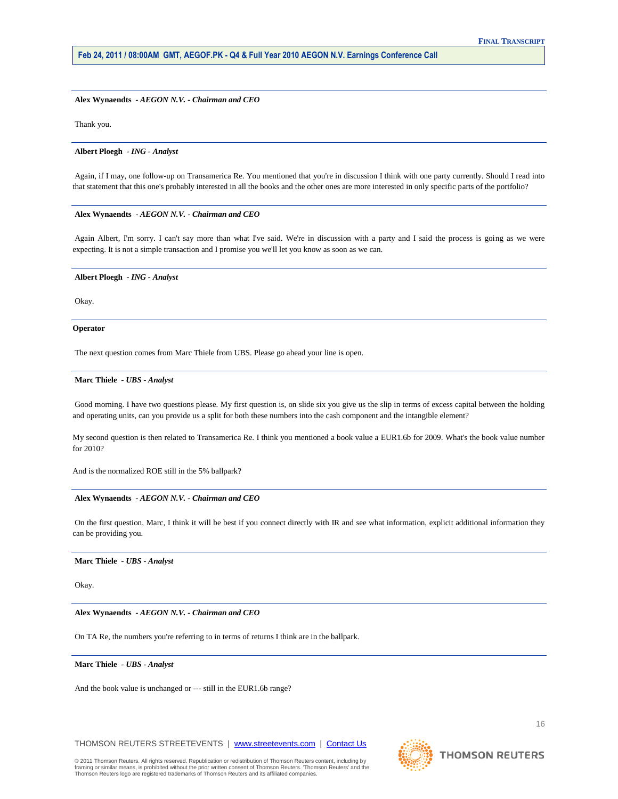## **Alex Wynaendts** *- AEGON N.V. - Chairman and CEO*

Thank you.

#### **Albert Ploegh** *- ING - Analyst*

Again, if I may, one follow-up on Transamerica Re. You mentioned that you're in discussion I think with one party currently. Should I read into that statement that this one's probably interested in all the books and the other ones are more interested in only specific parts of the portfolio?

### **Alex Wynaendts** *- AEGON N.V. - Chairman and CEO*

Again Albert, I'm sorry. I can't say more than what I've said. We're in discussion with a party and I said the process is going as we were expecting. It is not a simple transaction and I promise you we'll let you know as soon as we can.

#### **Albert Ploegh** *- ING - Analyst*

Okay.

#### **Operator**

The next question comes from Marc Thiele from UBS. Please go ahead your line is open.

#### **Marc Thiele** *- UBS - Analyst*

Good morning. I have two questions please. My first question is, on slide six you give us the slip in terms of excess capital between the holding and operating units, can you provide us a split for both these numbers into the cash component and the intangible element?

My second question is then related to Transamerica Re. I think you mentioned a book value a EUR1.6b for 2009. What's the book value number for 2010?

And is the normalized ROE still in the 5% ballpark?

## **Alex Wynaendts** *- AEGON N.V. - Chairman and CEO*

On the first question, Marc, I think it will be best if you connect directly with IR and see what information, explicit additional information they can be providing you.

#### **Marc Thiele** *- UBS - Analyst*

Okay.

**Alex Wynaendts** *- AEGON N.V. - Chairman and CEO* 

On TA Re, the numbers you're referring to in terms of returns I think are in the ballpark.

#### **Marc Thiele** *- UBS - Analyst*

And the book value is unchanged or --- still in the EUR1.6b range?

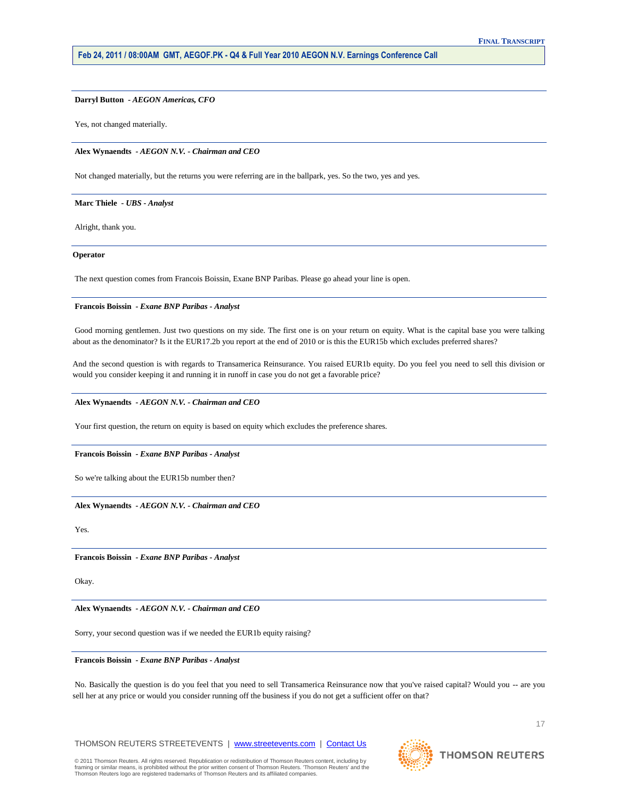#### **Darryl Button** *- AEGON Americas, CFO*

Yes, not changed materially.

**Alex Wynaendts** *- AEGON N.V. - Chairman and CEO* 

Not changed materially, but the returns you were referring are in the ballpark, yes. So the two, yes and yes.

#### **Marc Thiele** *- UBS - Analyst*

Alright, thank you.

#### **Operator**

The next question comes from Francois Boissin, Exane BNP Paribas. Please go ahead your line is open.

## **Francois Boissin** *- Exane BNP Paribas - Analyst*

Good morning gentlemen. Just two questions on my side. The first one is on your return on equity. What is the capital base you were talking about as the denominator? Is it the EUR17.2b you report at the end of 2010 or is this the EUR15b which excludes preferred shares?

And the second question is with regards to Transamerica Reinsurance. You raised EUR1b equity. Do you feel you need to sell this division or would you consider keeping it and running it in runoff in case you do not get a favorable price?

## **Alex Wynaendts** *- AEGON N.V. - Chairman and CEO*

Your first question, the return on equity is based on equity which excludes the preference shares.

## **Francois Boissin** *- Exane BNP Paribas - Analyst*

So we're talking about the EUR15b number then?

#### **Alex Wynaendts** *- AEGON N.V. - Chairman and CEO*

Yes.

**Francois Boissin** *- Exane BNP Paribas - Analyst* 

Okay.

## **Alex Wynaendts** *- AEGON N.V. - Chairman and CEO*

Sorry, your second question was if we needed the EUR1b equity raising?

## **Francois Boissin** *- Exane BNP Paribas - Analyst*

No. Basically the question is do you feel that you need to sell Transamerica Reinsurance now that you've raised capital? Would you -- are you sell her at any price or would you consider running off the business if you do not get a sufficient offer on that?

**THOMSON REUTERS** 

© 2011 Thomson Reuters. All rights reserved. Republication or redistribution of Thomson Reuters content, including by<br>framing or similar means, is prohibited without the prior written consent of Thomson Reuters. 'Thomson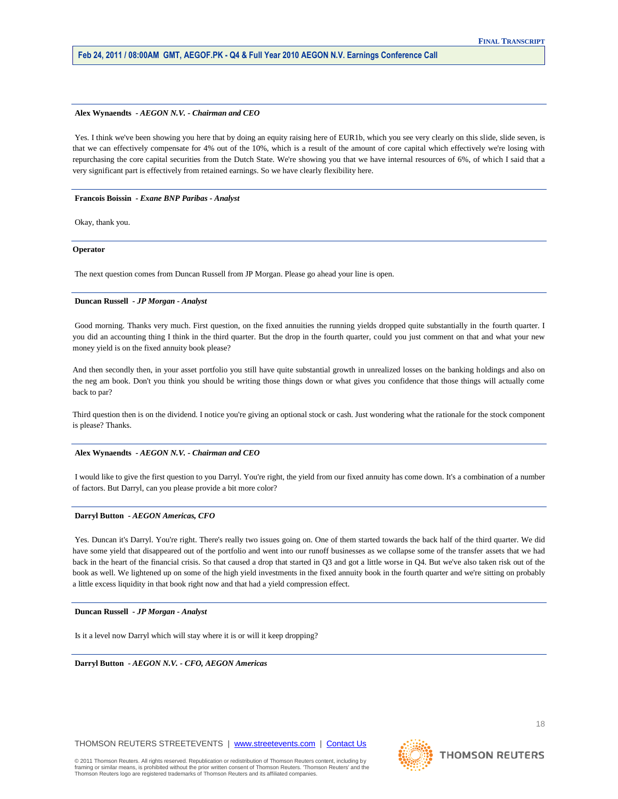#### **Alex Wynaendts** *- AEGON N.V. - Chairman and CEO*

Yes. I think we've been showing you here that by doing an equity raising here of EUR1b, which you see very clearly on this slide, slide seven, is that we can effectively compensate for 4% out of the 10%, which is a result of the amount of core capital which effectively we're losing with repurchasing the core capital securities from the Dutch State. We're showing you that we have internal resources of 6%, of which I said that a very significant part is effectively from retained earnings. So we have clearly flexibility here.

## **Francois Boissin** *- Exane BNP Paribas - Analyst*

Okay, thank you.

#### **Operator**

The next question comes from Duncan Russell from JP Morgan. Please go ahead your line is open.

## **Duncan Russell** *- JP Morgan - Analyst*

Good morning. Thanks very much. First question, on the fixed annuities the running yields dropped quite substantially in the fourth quarter. I you did an accounting thing I think in the third quarter. But the drop in the fourth quarter, could you just comment on that and what your new money yield is on the fixed annuity book please?

And then secondly then, in your asset portfolio you still have quite substantial growth in unrealized losses on the banking holdings and also on the neg am book. Don't you think you should be writing those things down or what gives you confidence that those things will actually come back to par?

Third question then is on the dividend. I notice you're giving an optional stock or cash. Just wondering what the rationale for the stock component is please? Thanks.

#### **Alex Wynaendts** *- AEGON N.V. - Chairman and CEO*

I would like to give the first question to you Darryl. You're right, the yield from our fixed annuity has come down. It's a combination of a number of factors. But Darryl, can you please provide a bit more color?

#### **Darryl Button** *- AEGON Americas, CFO*

Yes. Duncan it's Darryl. You're right. There's really two issues going on. One of them started towards the back half of the third quarter. We did have some yield that disappeared out of the portfolio and went into our runoff businesses as we collapse some of the transfer assets that we had back in the heart of the financial crisis. So that caused a drop that started in Q3 and got a little worse in Q4. But we've also taken risk out of the book as well. We lightened up on some of the high yield investments in the fixed annuity book in the fourth quarter and we're sitting on probably a little excess liquidity in that book right now and that had a yield compression effect.

#### **Duncan Russell** *- JP Morgan - Analyst*

Is it a level now Darryl which will stay where it is or will it keep dropping?

**Darryl Button** *- AEGON N.V. - CFO, AEGON Americas* 

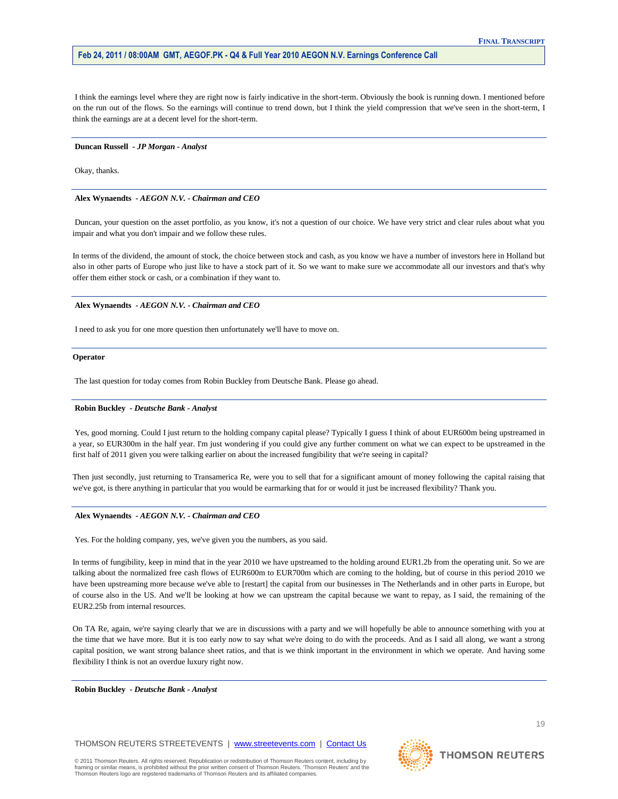I think the earnings level where they are right now is fairly indicative in the short-term. Obviously the book is running down. I mentioned before on the run out of the flows. So the earnings will continue to trend down, but I think the yield compression that we've seen in the short-term, I think the earnings are at a decent level for the short-term.

#### **Duncan Russell** *- JP Morgan - Analyst*

Okay, thanks.

## **Alex Wynaendts** *- AEGON N.V. - Chairman and CEO*

Duncan, your question on the asset portfolio, as you know, it's not a question of our choice. We have very strict and clear rules about what you impair and what you don't impair and we follow these rules.

In terms of the dividend, the amount of stock, the choice between stock and cash, as you know we have a number of investors here in Holland but also in other parts of Europe who just like to have a stock part of it. So we want to make sure we accommodate all our investors and that's why offer them either stock or cash, or a combination if they want to.

#### **Alex Wynaendts** *- AEGON N.V. - Chairman and CEO*

I need to ask you for one more question then unfortunately we'll have to move on.

#### **Operator**

The last question for today comes from Robin Buckley from Deutsche Bank. Please go ahead.

### **Robin Buckley** *- Deutsche Bank - Analyst*

Yes, good morning. Could I just return to the holding company capital please? Typically I guess I think of about EUR600m being upstreamed in a year, so EUR300m in the half year. I'm just wondering if you could give any further comment on what we can expect to be upstreamed in the first half of 2011 given you were talking earlier on about the increased fungibility that we're seeing in capital?

Then just secondly, just returning to Transamerica Re, were you to sell that for a significant amount of money following the capital raising that we've got, is there anything in particular that you would be earmarking that for or would it just be increased flexibility? Thank you.

#### **Alex Wynaendts** *- AEGON N.V. - Chairman and CEO*

Yes. For the holding company, yes, we've given you the numbers, as you said.

In terms of fungibility, keep in mind that in the year 2010 we have upstreamed to the holding around EUR1.2b from the operating unit. So we are talking about the normalized free cash flows of EUR600m to EUR700m which are coming to the holding, but of course in this period 2010 we have been upstreaming more because we've able to [restart] the capital from our businesses in The Netherlands and in other parts in Europe, but of course also in the US. And we'll be looking at how we can upstream the capital because we want to repay, as I said, the remaining of the EUR2.25b from internal resources.

On TA Re, again, we're saying clearly that we are in discussions with a party and we will hopefully be able to announce something with you at the time that we have more. But it is too early now to say what we're doing to do with the proceeds. And as I said all along, we want a strong capital position, we want strong balance sheet ratios, and that is we think important in the environment in which we operate. And having some flexibility I think is not an overdue luxury right now.

**Robin Buckley** *- Deutsche Bank - Analyst* 

framing or similar means, is prohibited without the prior written consent of Thomson Reuters. 'Thomson Reuters' and the

Thomson Reuters logo are registered trademarks of Thomson Reuters and its affiliated companies.